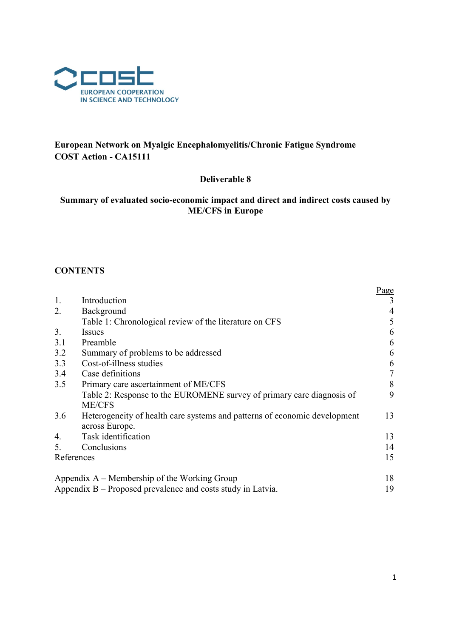

# European Network on Myalgic Encephalomyelitis/Chronic Fatigue Syndrome COST Action - CA15111

# Deliverable 8

# Summary of evaluated socio-economic impact and direct and indirect costs caused by ME/CFS in Europe

# **CONTENTS**

|                |                                                                           | Page   |
|----------------|---------------------------------------------------------------------------|--------|
| 1.             | Introduction                                                              |        |
| 2.             | Background                                                                |        |
|                | Table 1: Chronological review of the literature on CFS                    | 5      |
| 3.             | Issues                                                                    | 6      |
| 3.1            | Preamble                                                                  | 6      |
| 3.2            | Summary of problems to be addressed                                       | 6      |
| 3.3            | Cost-of-illness studies                                                   | 6      |
| 3.4            | Case definitions                                                          | $\tau$ |
| 3.5            | Primary care ascertainment of ME/CFS                                      | 8      |
|                | Table 2: Response to the EUROMENE survey of primary care diagnosis of     | 9      |
|                | <b>ME/CFS</b>                                                             |        |
| 3.6            | Heterogeneity of health care systems and patterns of economic development | 13     |
|                | across Europe.                                                            |        |
| 4.             | Task identification                                                       | 13     |
| 5 <sub>1</sub> | Conclusions                                                               | 14     |
| References     |                                                                           | 15     |
|                |                                                                           |        |
|                | Appendix $A$ – Membership of the Working Group                            | 18     |
|                | Appendix $B -$ Proposed prevalence and costs study in Latvia.             | 19     |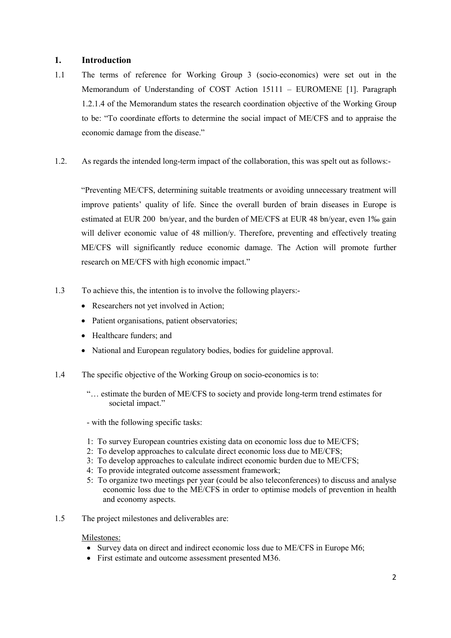# 1. Introduction

- 1.1 The terms of reference for Working Group 3 (socio-economics) were set out in the Memorandum of Understanding of COST Action 15111 – EUROMENE [1]. Paragraph 1.2.1.4 of the Memorandum states the research coordination objective of the Working Group to be: "To coordinate efforts to determine the social impact of ME/CFS and to appraise the economic damage from the disease."
- 1.2. As regards the intended long-term impact of the collaboration, this was spelt out as follows:-

"Preventing ME/CFS, determining suitable treatments or avoiding unnecessary treatment will improve patients' quality of life. Since the overall burden of brain diseases in Europe is estimated at EUR 200 bn/year, and the burden of ME/CFS at EUR 48 bn/year, even 1‰ gain will deliver economic value of 48 million/y. Therefore, preventing and effectively treating ME/CFS will significantly reduce economic damage. The Action will promote further research on ME/CFS with high economic impact."

- 1.3 To achieve this, the intention is to involve the following players:-
	- Researchers not yet involved in Action;
	- Patient organisations, patient observatories;
	- Healthcare funders; and
	- National and European regulatory bodies, bodies for guideline approval.
- 1.4 The specific objective of the Working Group on socio-economics is to:
	- "… estimate the burden of ME/CFS to society and provide long-term trend estimates for societal impact."
	- with the following specific tasks:
	- 1: To survey European countries existing data on economic loss due to ME/CFS;
	- 2: To develop approaches to calculate direct economic loss due to ME/CFS;
	- 3: To develop approaches to calculate indirect economic burden due to ME/CFS;
	- 4: To provide integrated outcome assessment framework;
	- 5: To organize two meetings per year (could be also teleconferences) to discuss and analyse economic loss due to the ME/CFS in order to optimise models of prevention in health and economy aspects.
- 1.5 The project milestones and deliverables are:

#### Milestones:

- Survey data on direct and indirect economic loss due to ME/CFS in Europe M6;
- First estimate and outcome assessment presented M36.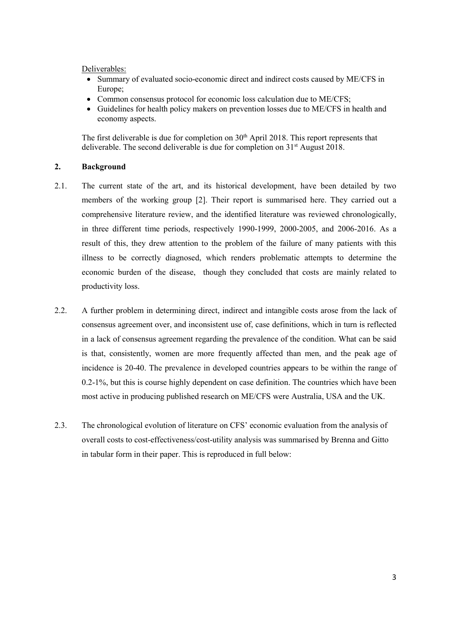Deliverables:

- Summary of evaluated socio-economic direct and indirect costs caused by ME/CFS in Europe;
- Common consensus protocol for economic loss calculation due to ME/CFS;
- Guidelines for health policy makers on prevention losses due to ME/CFS in health and economy aspects.

The first deliverable is due for completion on  $30<sup>th</sup>$  April 2018. This report represents that deliverable. The second deliverable is due for completion on  $31<sup>st</sup>$  August 2018.

#### 2. Background

- 2.1. The current state of the art, and its historical development, have been detailed by two members of the working group [2]. Their report is summarised here. They carried out a comprehensive literature review, and the identified literature was reviewed chronologically, in three different time periods, respectively 1990-1999, 2000-2005, and 2006-2016. As a result of this, they drew attention to the problem of the failure of many patients with this illness to be correctly diagnosed, which renders problematic attempts to determine the economic burden of the disease, though they concluded that costs are mainly related to productivity loss.
- 2.2. A further problem in determining direct, indirect and intangible costs arose from the lack of consensus agreement over, and inconsistent use of, case definitions, which in turn is reflected in a lack of consensus agreement regarding the prevalence of the condition. What can be said is that, consistently, women are more frequently affected than men, and the peak age of incidence is 20-40. The prevalence in developed countries appears to be within the range of 0.2-1%, but this is course highly dependent on case definition. The countries which have been most active in producing published research on ME/CFS were Australia, USA and the UK.
- 2.3. The chronological evolution of literature on CFS' economic evaluation from the analysis of overall costs to cost-effectiveness/cost-utility analysis was summarised by Brenna and Gitto in tabular form in their paper. This is reproduced in full below: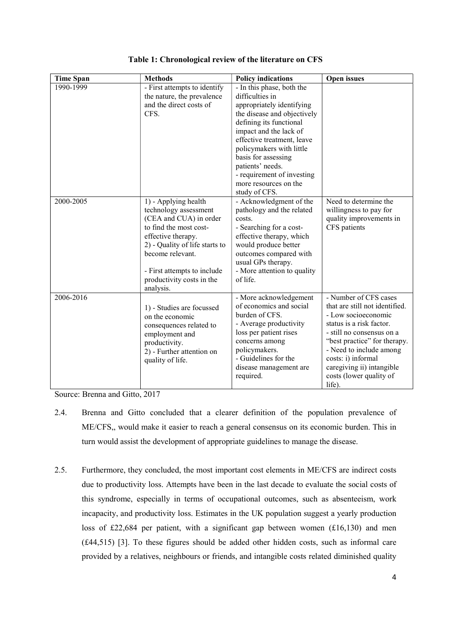| <b>Time Span</b>       | <b>Methods</b>                                                                                                                                                                                                                 | <b>Policy indications</b>                                                                                                                                                                                                                                                                                                                                             | <b>Open</b> issues                                                                                                                                                                                                                                                                         |
|------------------------|--------------------------------------------------------------------------------------------------------------------------------------------------------------------------------------------------------------------------------|-----------------------------------------------------------------------------------------------------------------------------------------------------------------------------------------------------------------------------------------------------------------------------------------------------------------------------------------------------------------------|--------------------------------------------------------------------------------------------------------------------------------------------------------------------------------------------------------------------------------------------------------------------------------------------|
| 1990-1999<br>2000-2005 | - First attempts to identify<br>the nature, the prevalence<br>and the direct costs of<br>CFS.<br>1) - Applying health                                                                                                          | - In this phase, both the<br>difficulties in<br>appropriately identifying<br>the disease and objectively<br>defining its functional<br>impact and the lack of<br>effective treatment, leave<br>policymakers with little<br>basis for assessing<br>patients' needs.<br>- requirement of investing<br>more resources on the<br>study of CFS.<br>- Acknowledgment of the | Need to determine the                                                                                                                                                                                                                                                                      |
|                        | technology assessment<br>(CEA and CUA) in order<br>to find the most cost-<br>effective therapy.<br>2) - Quality of life starts to<br>become relevant.<br>- First attempts to include<br>productivity costs in the<br>analysis. | pathology and the related<br>costs.<br>- Searching for a cost-<br>effective therapy, which<br>would produce better<br>outcomes compared with<br>usual GPs therapy.<br>- More attention to quality<br>of life.                                                                                                                                                         | willingness to pay for<br>quality improvements in<br>CFS patients                                                                                                                                                                                                                          |
| 2006-2016              | 1) - Studies are focussed<br>on the economic<br>consequences related to<br>employment and<br>productivity.<br>2) - Further attention on<br>quality of life.                                                                    | - More acknowledgement<br>of economics and social<br>burden of CFS.<br>- Average productivity<br>loss per patient rises<br>concerns among<br>policymakers.<br>- Guidelines for the<br>disease management are<br>required.                                                                                                                                             | - Number of CFS cases<br>that are still not identified.<br>- Low socioeconomic<br>status is a risk factor.<br>- still no consensus on a<br>"best practice" for therapy.<br>- Need to include among<br>costs: i) informal<br>caregiving ii) intangible<br>costs (lower quality of<br>life). |

Table 1: Chronological review of the literature on CFS

Source: Brenna and Gitto, 2017

- 2.4. Brenna and Gitto concluded that a clearer definition of the population prevalence of ME/CFS,, would make it easier to reach a general consensus on its economic burden. This in turn would assist the development of appropriate guidelines to manage the disease.
- 2.5. Furthermore, they concluded, the most important cost elements in ME/CFS are indirect costs due to productivity loss. Attempts have been in the last decade to evaluate the social costs of this syndrome, especially in terms of occupational outcomes, such as absenteeism, work incapacity, and productivity loss. Estimates in the UK population suggest a yearly production loss of £22,684 per patient, with a significant gap between women (£16,130) and men (£44,515) [3]. To these figures should be added other hidden costs, such as informal care provided by a relatives, neighbours or friends, and intangible costs related diminished quality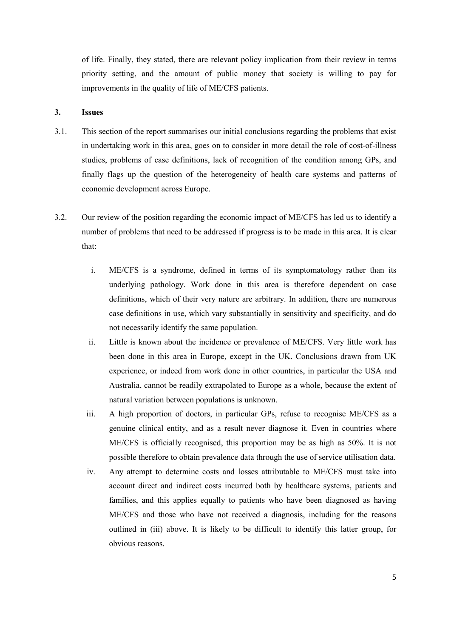of life. Finally, they stated, there are relevant policy implication from their review in terms priority setting, and the amount of public money that society is willing to pay for improvements in the quality of life of ME/CFS patients.

#### 3. Issues

- 3.1. This section of the report summarises our initial conclusions regarding the problems that exist in undertaking work in this area, goes on to consider in more detail the role of cost-of-illness studies, problems of case definitions, lack of recognition of the condition among GPs, and finally flags up the question of the heterogeneity of health care systems and patterns of economic development across Europe.
- 3.2. Our review of the position regarding the economic impact of ME/CFS has led us to identify a number of problems that need to be addressed if progress is to be made in this area. It is clear that:
	- i. ME/CFS is a syndrome, defined in terms of its symptomatology rather than its underlying pathology. Work done in this area is therefore dependent on case definitions, which of their very nature are arbitrary. In addition, there are numerous case definitions in use, which vary substantially in sensitivity and specificity, and do not necessarily identify the same population.
	- ii. Little is known about the incidence or prevalence of ME/CFS. Very little work has been done in this area in Europe, except in the UK. Conclusions drawn from UK experience, or indeed from work done in other countries, in particular the USA and Australia, cannot be readily extrapolated to Europe as a whole, because the extent of natural variation between populations is unknown.
	- iii. A high proportion of doctors, in particular GPs, refuse to recognise ME/CFS as a genuine clinical entity, and as a result never diagnose it. Even in countries where ME/CFS is officially recognised, this proportion may be as high as 50%. It is not possible therefore to obtain prevalence data through the use of service utilisation data.
	- iv. Any attempt to determine costs and losses attributable to ME/CFS must take into account direct and indirect costs incurred both by healthcare systems, patients and families, and this applies equally to patients who have been diagnosed as having ME/CFS and those who have not received a diagnosis, including for the reasons outlined in (iii) above. It is likely to be difficult to identify this latter group, for obvious reasons.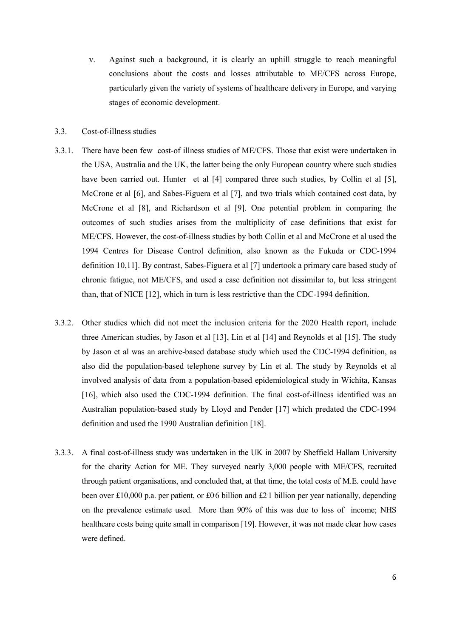v. Against such a background, it is clearly an uphill struggle to reach meaningful conclusions about the costs and losses attributable to ME/CFS across Europe, particularly given the variety of systems of healthcare delivery in Europe, and varying stages of economic development.

#### 3.3. Cost-of-illness studies

- 3.3.1. There have been few cost-of illness studies of ME/CFS. Those that exist were undertaken in the USA, Australia and the UK, the latter being the only European country where such studies have been carried out. Hunter et al [4] compared three such studies, by Collin et al [5], McCrone et al [6], and Sabes-Figuera et al [7], and two trials which contained cost data, by McCrone et al [8], and Richardson et al [9]. One potential problem in comparing the outcomes of such studies arises from the multiplicity of case definitions that exist for ME/CFS. However, the cost-of-illness studies by both Collin et al and McCrone et al used the 1994 Centres for Disease Control definition, also known as the Fukuda or CDC-1994 definition 10,11]. By contrast, Sabes-Figuera et al [7] undertook a primary care based study of chronic fatigue, not ME/CFS, and used a case definition not dissimilar to, but less stringent than, that of NICE [12], which in turn is less restrictive than the CDC-1994 definition.
- 3.3.2. Other studies which did not meet the inclusion criteria for the 2020 Health report, include three American studies, by Jason et al [13], Lin et al [14] and Reynolds et al [15]. The study by Jason et al was an archive-based database study which used the CDC-1994 definition, as also did the population-based telephone survey by Lin et al. The study by Reynolds et al involved analysis of data from a population-based epidemiological study in Wichita, Kansas [16], which also used the CDC-1994 definition. The final cost-of-illness identified was an Australian population-based study by Lloyd and Pender [17] which predated the CDC-1994 definition and used the 1990 Australian definition [18].
- 3.3.3. A final cost-of-illness study was undertaken in the UK in 2007 by Sheffield Hallam University for the charity Action for ME. They surveyed nearly 3,000 people with ME/CFS, recruited through patient organisations, and concluded that, at that time, the total costs of M.E. could have been over £10,000 p.a. per patient, or £0.6 billion and £2.1 billion per year nationally, depending on the prevalence estimate used. More than 90% of this was due to loss of income; NHS healthcare costs being quite small in comparison [19]. However, it was not made clear how cases were defined.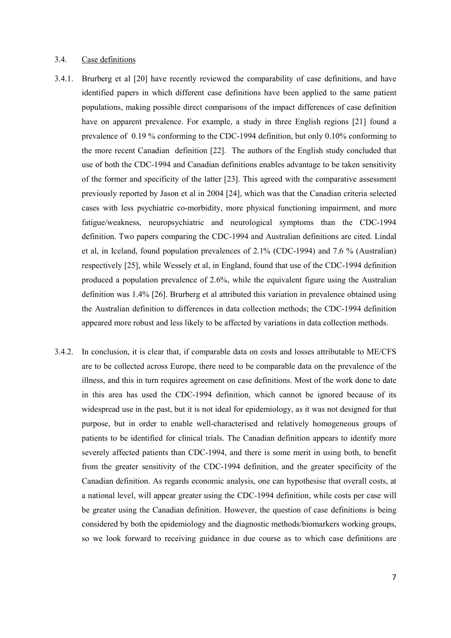#### 3.4. Case definitions

- 3.4.1. Brurberg et al [20] have recently reviewed the comparability of case definitions, and have identified papers in which different case definitions have been applied to the same patient populations, making possible direct comparisons of the impact differences of case definition have on apparent prevalence. For example, a study in three English regions [21] found a prevalence of 0.19 % conforming to the CDC-1994 definition, but only 0.10% conforming to the more recent Canadian definition [22]. The authors of the English study concluded that use of both the CDC-1994 and Canadian definitions enables advantage to be taken sensitivity of the former and specificity of the latter [23]. This agreed with the comparative assessment previously reported by Jason et al in 2004 [24], which was that the Canadian criteria selected cases with less psychiatric co-morbidity, more physical functioning impairment, and more fatigue/weakness, neuropsychiatric and neurological symptoms than the CDC-1994 definition. Two papers comparing the CDC-1994 and Australian definitions are cited. Lindal et al, in Iceland, found population prevalences of 2.1% (CDC-1994) and 7.6 % (Australian) respectively [25], while Wessely et al, in England, found that use of the CDC-1994 definition produced a population prevalence of 2.6%, while the equivalent figure using the Australian definition was 1.4% [26]. Brurberg et al attributed this variation in prevalence obtained using the Australian definition to differences in data collection methods; the CDC-1994 definition appeared more robust and less likely to be affected by variations in data collection methods.
- 3.4.2. In conclusion, it is clear that, if comparable data on costs and losses attributable to ME/CFS are to be collected across Europe, there need to be comparable data on the prevalence of the illness, and this in turn requires agreement on case definitions. Most of the work done to date in this area has used the CDC-1994 definition, which cannot be ignored because of its widespread use in the past, but it is not ideal for epidemiology, as it was not designed for that purpose, but in order to enable well-characterised and relatively homogeneous groups of patients to be identified for clinical trials. The Canadian definition appears to identify more severely affected patients than CDC-1994, and there is some merit in using both, to benefit from the greater sensitivity of the CDC-1994 definition, and the greater specificity of the Canadian definition. As regards economic analysis, one can hypothesise that overall costs, at a national level, will appear greater using the CDC-1994 definition, while costs per case will be greater using the Canadian definition. However, the question of case definitions is being considered by both the epidemiology and the diagnostic methods/biomarkers working groups, so we look forward to receiving guidance in due course as to which case definitions are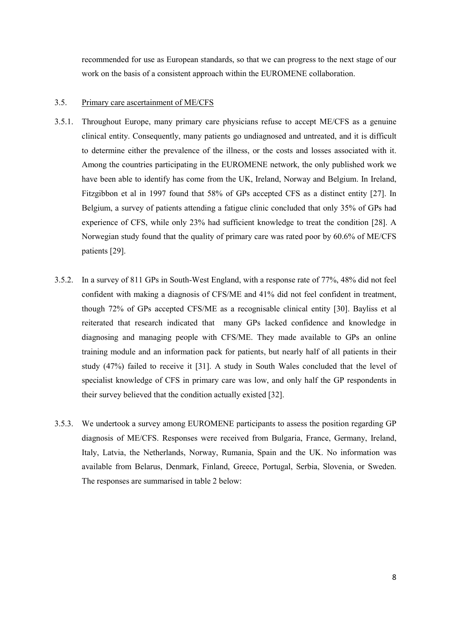recommended for use as European standards, so that we can progress to the next stage of our work on the basis of a consistent approach within the EUROMENE collaboration.

#### 3.5. Primary care ascertainment of ME/CFS

- 3.5.1. Throughout Europe, many primary care physicians refuse to accept ME/CFS as a genuine clinical entity. Consequently, many patients go undiagnosed and untreated, and it is difficult to determine either the prevalence of the illness, or the costs and losses associated with it. Among the countries participating in the EUROMENE network, the only published work we have been able to identify has come from the UK, Ireland, Norway and Belgium. In Ireland, Fitzgibbon et al in 1997 found that 58% of GPs accepted CFS as a distinct entity [27]. In Belgium, a survey of patients attending a fatigue clinic concluded that only 35% of GPs had experience of CFS, while only 23% had sufficient knowledge to treat the condition [28]. A Norwegian study found that the quality of primary care was rated poor by 60.6% of ME/CFS patients [29].
- 3.5.2. In a survey of 811 GPs in South-West England, with a response rate of 77%, 48% did not feel confident with making a diagnosis of CFS/ME and 41% did not feel confident in treatment, though 72% of GPs accepted CFS/ME as a recognisable clinical entity [30]. Bayliss et al reiterated that research indicated that many GPs lacked confidence and knowledge in diagnosing and managing people with CFS/ME. They made available to GPs an online training module and an information pack for patients, but nearly half of all patients in their study (47%) failed to receive it [31]. A study in South Wales concluded that the level of specialist knowledge of CFS in primary care was low, and only half the GP respondents in their survey believed that the condition actually existed [32].
- 3.5.3. We undertook a survey among EUROMENE participants to assess the position regarding GP diagnosis of ME/CFS. Responses were received from Bulgaria, France, Germany, Ireland, Italy, Latvia, the Netherlands, Norway, Rumania, Spain and the UK. No information was available from Belarus, Denmark, Finland, Greece, Portugal, Serbia, Slovenia, or Sweden. The responses are summarised in table 2 below: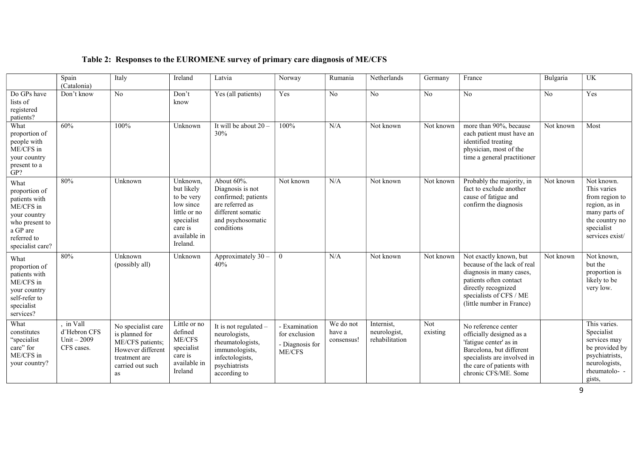|                                                                                                                                      | Spain<br>(Catalonia)                                  | Italy                                                                                                                    | Ireland                                                                                                                | Latvia                                                                                                                           | Norway                                                      | Rumania                           | Netherlands                                  | Germany         | France                                                                                                                                                                                     | Bulgaria  | UK                                                                                                                               |
|--------------------------------------------------------------------------------------------------------------------------------------|-------------------------------------------------------|--------------------------------------------------------------------------------------------------------------------------|------------------------------------------------------------------------------------------------------------------------|----------------------------------------------------------------------------------------------------------------------------------|-------------------------------------------------------------|-----------------------------------|----------------------------------------------|-----------------|--------------------------------------------------------------------------------------------------------------------------------------------------------------------------------------------|-----------|----------------------------------------------------------------------------------------------------------------------------------|
| Do GPs have<br>lists of<br>registered<br>patients?                                                                                   | Don't know                                            | No                                                                                                                       | Don't<br>know                                                                                                          | Yes (all patients)                                                                                                               | Yes                                                         | No                                | No                                           | N <sub>o</sub>  | No                                                                                                                                                                                         | No        | Yes                                                                                                                              |
| What<br>proportion of<br>people with<br>ME/CFS in<br>your country<br>present to a<br>GP?                                             | 60%                                                   | 100%                                                                                                                     | Unknown                                                                                                                | It will be about 20<br>30%                                                                                                       | 100%                                                        | N/A                               | Not known                                    | Not known       | more than 90%, because<br>each patient must have an<br>identified treating<br>physician, most of the<br>time a general practitioner                                                        | Not known | Most                                                                                                                             |
| What<br>proportion of<br>patients with<br>ME/CFS in<br>your country<br>who present to<br>a GP are<br>referred to<br>specialist care? | 80%                                                   | Unknown                                                                                                                  | Unknown,<br>but likely<br>to be very<br>low since<br>little or no<br>specialist<br>care is<br>available in<br>Ireland. | About 60%.<br>Diagnosis is not<br>confirmed; patients<br>are referred as<br>different somatic<br>and psychosomatic<br>conditions | Not known                                                   | N/A                               | Not known                                    | Not known       | Probably the majority, in<br>fact to exclude another<br>cause of fatigue and<br>confirm the diagnosis                                                                                      | Not known | Not known.<br>This varies<br>from region to<br>region, as in<br>many parts of<br>the country no<br>specialist<br>services exist/ |
| What<br>proportion of<br>patients with<br>ME/CFS in<br>your country<br>self-refer to<br>specialist<br>services?                      | 80%                                                   | Unknown<br>(possibly all)                                                                                                | Unknown                                                                                                                | Approximately 30<br>40%                                                                                                          | $\theta$                                                    | N/A                               | Not known                                    | Not known       | Not exactly known, but<br>because of the lack of real<br>diagnosis in many cases,<br>patients often contact<br>directly recognized<br>specialists of CFS / ME<br>(little number in France) | Not known | Not known,<br>but the<br>proportion is<br>likely to be<br>very low.                                                              |
| What<br>constitutes<br>"specialist<br>care" for<br>ME/CFS in<br>your country?                                                        | in Vall<br>d"Hebron CFS<br>Unit $-2009$<br>CFS cases. | No specialist care<br>is planned for<br>ME/CFS patients;<br>However different<br>treatment are<br>carried out such<br>as | Little or no<br>defined<br>ME/CFS<br>specialist<br>care is<br>available in<br>Ireland                                  | It is not regulated -<br>neurologists,<br>rheumatologists,<br>immunologists,<br>infectologists,<br>psychiatrists<br>according to | - Examination<br>for exclusion<br>- Diagnosis for<br>ME/CFS | We do not<br>have a<br>consensus! | Internist,<br>neurologist,<br>rehabilitation | Not<br>existing | No reference center<br>officially designed as a<br>'fatigue center' as in<br>Barcelona, but different<br>specialists are involved in<br>the care of patients with<br>chronic CFS/ME. Some  |           | This varies.<br>Specialist<br>services may<br>be provided by<br>psychiatrists,<br>neurologists,<br>rheumatolo--<br>gists,        |

# Table 2: Responses to the EUROMENE survey of primary care diagnosis of ME/CFS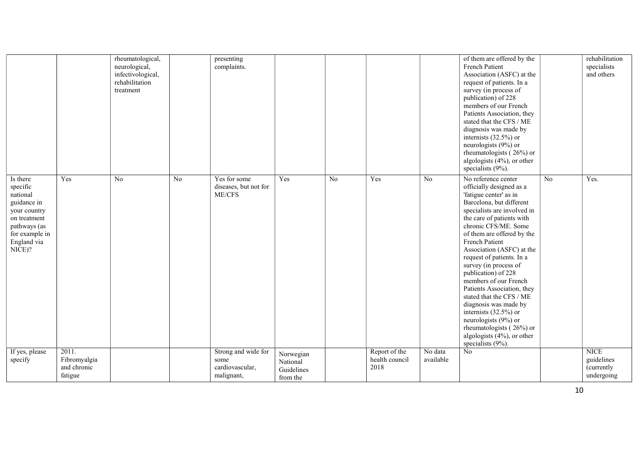|                                                                                                                                            |                                                 | rheumatological,<br>neurological,<br>infectivological,<br>rehabilitation<br>treatment |    | presenting<br>complaints.                                    |                                                 |    |                                         |                      | of them are offered by the<br>French Patient<br>Association (ASFC) at the<br>request of patients. In a<br>survey (in process of<br>publication) of 228<br>members of our French<br>Patients Association, they<br>stated that the CFS / ME<br>diagnosis was made by<br>internists $(32.5\%)$ or<br>neurologists (9%) or<br>rheumatologists (26%) or<br>algologists (4%), or other<br>specialists (9%).                                                                                                                                                                                                 |    | rehabilitation<br>specialists<br>and others           |
|--------------------------------------------------------------------------------------------------------------------------------------------|-------------------------------------------------|---------------------------------------------------------------------------------------|----|--------------------------------------------------------------|-------------------------------------------------|----|-----------------------------------------|----------------------|-------------------------------------------------------------------------------------------------------------------------------------------------------------------------------------------------------------------------------------------------------------------------------------------------------------------------------------------------------------------------------------------------------------------------------------------------------------------------------------------------------------------------------------------------------------------------------------------------------|----|-------------------------------------------------------|
| Is there<br>specific<br>national<br>guidance in<br>your country<br>on treatment<br>pathways (as<br>for example in<br>England via<br>NICE)? | Yes                                             | No                                                                                    | No | Yes for some<br>diseases, but not for<br>ME/CFS              | Yes                                             | No | Yes                                     | $\overline{No}$      | No reference center<br>officially designed as a<br>'fatigue center' as in<br>Barcelona, but different<br>specialists are involved in<br>the care of patients with<br>chronic CFS/ME. Some<br>of them are offered by the<br>French Patient<br>Association (ASFC) at the<br>request of patients. In a<br>survey (in process of<br>publication) of 228<br>members of our French<br>Patients Association, they<br>stated that the CFS / ME<br>diagnosis was made by<br>internists $(32.5\%)$ or<br>neurologists (9%) or<br>rheumatologists $(26\%)$ or<br>algologists (4%), or other<br>specialists (9%). | No | Yes.                                                  |
| If yes, please<br>specify                                                                                                                  | 2011.<br>Fibromyalgia<br>and chronic<br>fatigue |                                                                                       |    | Strong and wide for<br>some<br>cardiovascular,<br>malignant, | Norwegian<br>National<br>Guidelines<br>from the |    | Report of the<br>health council<br>2018 | No data<br>available | No                                                                                                                                                                                                                                                                                                                                                                                                                                                                                                                                                                                                    |    | <b>NICE</b><br>guidelines<br>(currently<br>undergoing |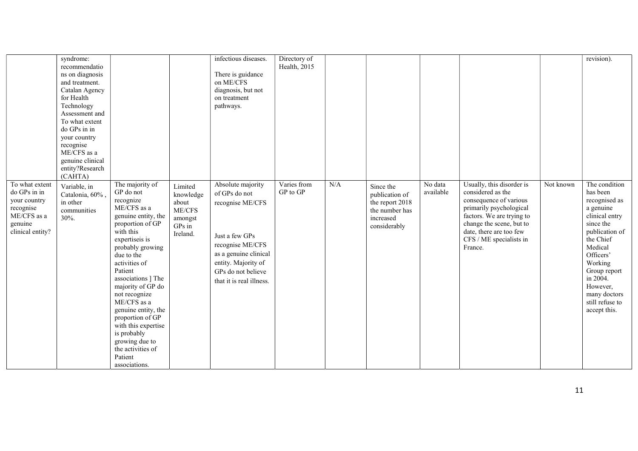|                                                                                                                 | syndrome:<br>recommendatio<br>ns on diagnosis<br>and treatment.<br>Catalan Agency<br>for Health<br>Technology<br>Assessment and<br>To what extent<br>do GPs in in<br>your country<br>recognise<br>ME/CFS as a<br>genuine clinical<br>entity?Research<br>(CAHTA) |                                                                                                                                                                                                                                                                                                                                                                                                                                                  |                                                                            | infectious diseases.<br>There is guidance<br>on ME/CFS<br>diagnosis, but not<br>on treatment<br>pathways.                                                                                      | Directory of<br>Health, 2015 |     |                                                                                               |                      |                                                                                                                                                                                                                               |           | revision).                                                                                                                                                                                                                                             |
|-----------------------------------------------------------------------------------------------------------------|-----------------------------------------------------------------------------------------------------------------------------------------------------------------------------------------------------------------------------------------------------------------|--------------------------------------------------------------------------------------------------------------------------------------------------------------------------------------------------------------------------------------------------------------------------------------------------------------------------------------------------------------------------------------------------------------------------------------------------|----------------------------------------------------------------------------|------------------------------------------------------------------------------------------------------------------------------------------------------------------------------------------------|------------------------------|-----|-----------------------------------------------------------------------------------------------|----------------------|-------------------------------------------------------------------------------------------------------------------------------------------------------------------------------------------------------------------------------|-----------|--------------------------------------------------------------------------------------------------------------------------------------------------------------------------------------------------------------------------------------------------------|
| To what extent<br>do GPs in in<br>your country<br>recognise<br>$\rm ME/CFS$ as a<br>genuine<br>clinical entity? | Variable, in<br>Catalonia, 60%,<br>in other<br>communities<br>30%.                                                                                                                                                                                              | The majority of<br>GP do not<br>recognize<br>$\operatorname{ME/CFS}$ as a<br>genuine entity, the<br>proportion of GP<br>with this<br>expertiseis is<br>probably growing<br>due to the<br>activities of<br>Patient<br>associations ] The<br>majority of GP do<br>not recognize<br>ME/CFS as a<br>genuine entity, the<br>proportion of GP<br>with this expertise<br>is probably<br>growing due to<br>the activities of<br>Patient<br>associations. | Limited<br>knowledge<br>about<br>$ME/CFS$<br>amongst<br>GPs in<br>Ireland. | Absolute majority<br>of GPs do not<br>recognise ME/CFS<br>Just a few GPs<br>recognise ME/CFS<br>as a genuine clinical<br>entity. Majority of<br>GPs do not believe<br>that it is real illness. | Varies from<br>GP to GP      | N/A | Since the<br>publication of<br>the report 2018<br>the number has<br>increased<br>considerably | No data<br>available | Usually, this disorder is<br>considered as the<br>consequence of various<br>primarily psychological<br>factors. We are trying to<br>change the scene, but to<br>date, there are too few<br>CFS / ME specialists in<br>France. | Not known | The condition<br>has been<br>recognised as<br>a genuine<br>clinical entry<br>since the<br>publication of<br>the Chief<br>Medical<br>Officers'<br>Working<br>Group report<br>in $2004$ .<br>However,<br>many doctors<br>still refuse to<br>accept this. |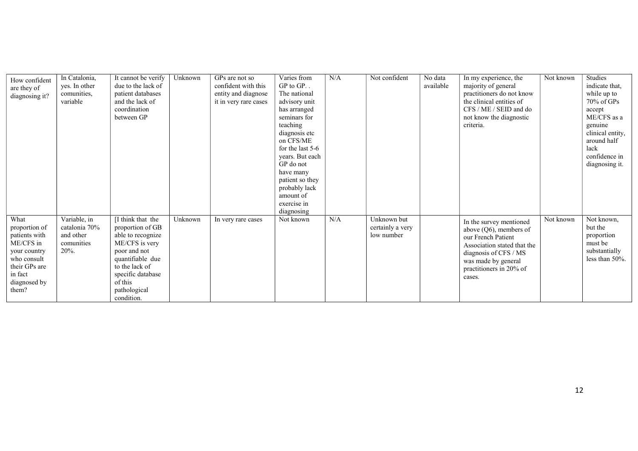| How confident<br>are they of<br>diagnosing it?                                                                                          | In Catalonia,<br>yes. In other<br>comunities,<br>variable           | It cannot be verify<br>due to the lack of<br>patient databases<br>and the lack of<br>coordination<br>between GP                                                                                  | Unknown | GPs are not so<br>confident with this<br>entity and diagnose<br>it in very rare cases | Varies from<br>$GP$ to $GP$<br>The national<br>advisory unit<br>has arranged<br>seminars for<br>teaching<br>diagnosis etc<br>on CFS/ME<br>for the last 5-6<br>years. But each<br>GP do not<br>have many<br>patient so they<br>probably lack<br>amount of<br>exercise in | N/A | Not confident                                 | No data<br>available | In my experience, the<br>majority of general<br>practitioners do not know<br>the clinical entities of<br>CFS / ME / SEID and do<br>not know the diagnostic<br>criteria.                        | Not known | Studies<br>indicate that,<br>while up to<br>$70\%$ of GPs<br>accept<br>ME/CFS as a<br>genuine<br>clinical entity,<br>around half<br>lack<br>confidence in<br>diagnosing it. |
|-----------------------------------------------------------------------------------------------------------------------------------------|---------------------------------------------------------------------|--------------------------------------------------------------------------------------------------------------------------------------------------------------------------------------------------|---------|---------------------------------------------------------------------------------------|-------------------------------------------------------------------------------------------------------------------------------------------------------------------------------------------------------------------------------------------------------------------------|-----|-----------------------------------------------|----------------------|------------------------------------------------------------------------------------------------------------------------------------------------------------------------------------------------|-----------|-----------------------------------------------------------------------------------------------------------------------------------------------------------------------------|
| What<br>proportion of<br>patients with<br>ME/CFS in<br>your country<br>who consult<br>their GPs are<br>in fact<br>diagnosed by<br>them? | Variable, in<br>catalonia 70%<br>and other<br>comunities<br>$20%$ . | [I think that the<br>proportion of GB<br>able to recognize<br>ME/CFS is very<br>poor and not<br>quantifiable due<br>to the lack of<br>specific database<br>of this<br>pathological<br>condition. | Unknown | In very rare cases                                                                    | diagnosing<br>Not known                                                                                                                                                                                                                                                 | N/A | Unknown but<br>certainly a very<br>low number |                      | In the survey mentioned<br>above $(Q6)$ , members of<br>our French Patient<br>Association stated that the<br>diagnosis of CFS / MS<br>was made by general<br>practitioners in 20% of<br>cases. | Not known | Not known,<br>but the<br>proportion<br>must be<br>substantially<br>less than 50%.                                                                                           |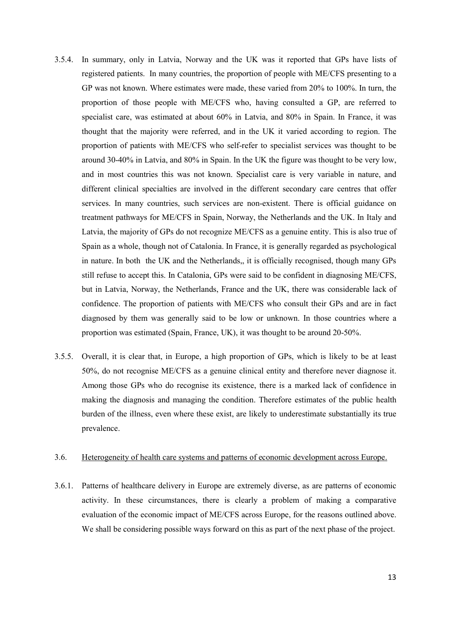- 3.5.4. In summary, only in Latvia, Norway and the UK was it reported that GPs have lists of registered patients. In many countries, the proportion of people with ME/CFS presenting to a GP was not known. Where estimates were made, these varied from 20% to 100%. In turn, the proportion of those people with ME/CFS who, having consulted a GP, are referred to specialist care, was estimated at about 60% in Latvia, and 80% in Spain. In France, it was thought that the majority were referred, and in the UK it varied according to region. The proportion of patients with ME/CFS who self-refer to specialist services was thought to be around 30-40% in Latvia, and 80% in Spain. In the UK the figure was thought to be very low, and in most countries this was not known. Specialist care is very variable in nature, and different clinical specialties are involved in the different secondary care centres that offer services. In many countries, such services are non-existent. There is official guidance on treatment pathways for ME/CFS in Spain, Norway, the Netherlands and the UK. In Italy and Latvia, the majority of GPs do not recognize ME/CFS as a genuine entity. This is also true of Spain as a whole, though not of Catalonia. In France, it is generally regarded as psychological in nature. In both the UK and the Netherlands,, it is officially recognised, though many GPs still refuse to accept this. In Catalonia, GPs were said to be confident in diagnosing ME/CFS, but in Latvia, Norway, the Netherlands, France and the UK, there was considerable lack of confidence. The proportion of patients with ME/CFS who consult their GPs and are in fact diagnosed by them was generally said to be low or unknown. In those countries where a proportion was estimated (Spain, France, UK), it was thought to be around 20-50%.
- 3.5.5. Overall, it is clear that, in Europe, a high proportion of GPs, which is likely to be at least 50%, do not recognise ME/CFS as a genuine clinical entity and therefore never diagnose it. Among those GPs who do recognise its existence, there is a marked lack of confidence in making the diagnosis and managing the condition. Therefore estimates of the public health burden of the illness, even where these exist, are likely to underestimate substantially its true prevalence.

#### 3.6. Heterogeneity of health care systems and patterns of economic development across Europe.

3.6.1. Patterns of healthcare delivery in Europe are extremely diverse, as are patterns of economic activity. In these circumstances, there is clearly a problem of making a comparative evaluation of the economic impact of ME/CFS across Europe, for the reasons outlined above. We shall be considering possible ways forward on this as part of the next phase of the project.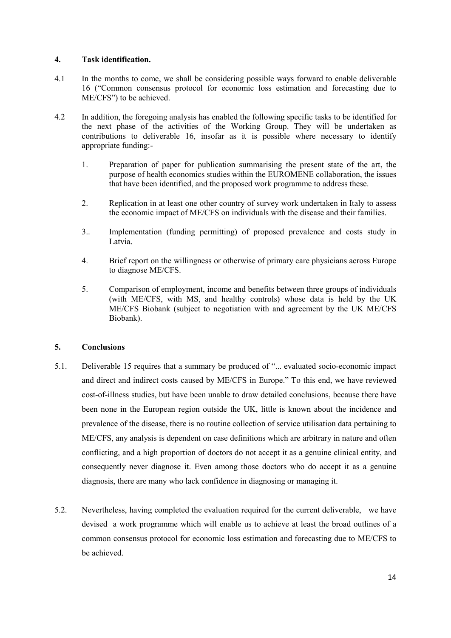## 4. Task identification.

- 4.1 In the months to come, we shall be considering possible ways forward to enable deliverable 16 ("Common consensus protocol for economic loss estimation and forecasting due to ME/CFS") to be achieved.
- 4.2 In addition, the foregoing analysis has enabled the following specific tasks to be identified for the next phase of the activities of the Working Group. They will be undertaken as contributions to deliverable 16, insofar as it is possible where necessary to identify appropriate funding:-
	- 1. Preparation of paper for publication summarising the present state of the art, the purpose of health economics studies within the EUROMENE collaboration, the issues that have been identified, and the proposed work programme to address these.
	- 2. Replication in at least one other country of survey work undertaken in Italy to assess the economic impact of ME/CFS on individuals with the disease and their families.
	- 3.. Implementation (funding permitting) of proposed prevalence and costs study in Latvia.
	- 4. Brief report on the willingness or otherwise of primary care physicians across Europe to diagnose ME/CFS.
	- 5. Comparison of employment, income and benefits between three groups of individuals (with ME/CFS, with MS, and healthy controls) whose data is held by the UK ME/CFS Biobank (subject to negotiation with and agreement by the UK ME/CFS Biobank).

# 5. Conclusions

- 5.1. Deliverable 15 requires that a summary be produced of "... evaluated socio-economic impact and direct and indirect costs caused by ME/CFS in Europe." To this end, we have reviewed cost-of-illness studies, but have been unable to draw detailed conclusions, because there have been none in the European region outside the UK, little is known about the incidence and prevalence of the disease, there is no routine collection of service utilisation data pertaining to ME/CFS, any analysis is dependent on case definitions which are arbitrary in nature and often conflicting, and a high proportion of doctors do not accept it as a genuine clinical entity, and consequently never diagnose it. Even among those doctors who do accept it as a genuine diagnosis, there are many who lack confidence in diagnosing or managing it.
- 5.2. Nevertheless, having completed the evaluation required for the current deliverable, we have devised a work programme which will enable us to achieve at least the broad outlines of a common consensus protocol for economic loss estimation and forecasting due to ME/CFS to be achieved.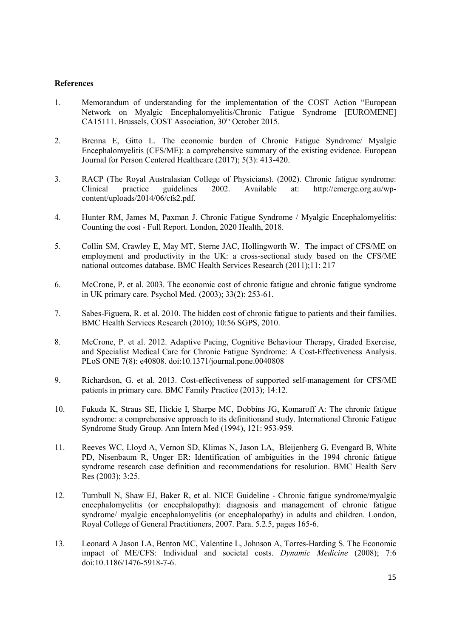#### References

- 1. Memorandum of understanding for the implementation of the COST Action "European Network on Myalgic Encephalomyelitis/Chronic Fatigue Syndrome [EUROMENE] CA15111. Brussels, COST Association, 30<sup>th</sup> October 2015.
- 2. Brenna E, Gitto L. The economic burden of Chronic Fatigue Syndrome/ Myalgic Encephalomyelitis (CFS/ME): a comprehensive summary of the existing evidence. European Journal for Person Centered Healthcare (2017); 5(3): 413-420.
- 3. RACP (The Royal Australasian College of Physicians). (2002). Chronic fatigue syndrome: Clinical practice guidelines 2002. Available at: http://emerge.org.au/wpcontent/uploads/2014/06/cfs2.pdf.
- 4. Hunter RM, James M, Paxman J. Chronic Fatigue Syndrome / Myalgic Encephalomyelitis: Counting the cost - Full Report. London, 2020 Health, 2018.
- 5. Collin SM, Crawley E, May MT, Sterne JAC, Hollingworth W. The impact of CFS/ME on employment and productivity in the UK: a cross-sectional study based on the CFS/ME national outcomes database. BMC Health Services Research (2011);11: 217
- 6. McCrone, P. et al. 2003. The economic cost of chronic fatigue and chronic fatigue syndrome in UK primary care. Psychol Med. (2003); 33(2): 253-61.
- 7. Sabes-Figuera, R. et al. 2010. The hidden cost of chronic fatigue to patients and their families. BMC Health Services Research (2010); 10:56 SGPS, 2010.
- 8. McCrone, P. et al. 2012. Adaptive Pacing, Cognitive Behaviour Therapy, Graded Exercise, and Specialist Medical Care for Chronic Fatigue Syndrome: A Cost-Effectiveness Analysis. PLoS ONE 7(8): e40808. doi:10.1371/journal.pone.0040808
- 9. Richardson, G. et al. 2013. Cost-effectiveness of supported self-management for CFS/ME patients in primary care. BMC Family Practice (2013); 14:12.
- 10. Fukuda K, Straus SE, Hickie I, Sharpe MC, Dobbins JG, Komaroff A: The chronic fatigue syndrome: a comprehensive approach to its definitionand study. International Chronic Fatigue Syndrome Study Group. Ann Intern Med (1994), 121: 953-959.
- 11. Reeves WC, Lloyd A, Vernon SD, Klimas N, Jason LA, Bleijenberg G, Evengard B, White PD, Nisenbaum R, Unger ER: Identification of ambiguities in the 1994 chronic fatigue syndrome research case definition and recommendations for resolution. BMC Health Serv Res (2003); 3:25.
- 12. Turnbull N, Shaw EJ, Baker R, et al. NICE Guideline Chronic fatigue syndrome/myalgic encephalomyelitis (or encephalopathy): diagnosis and management of chronic fatigue syndrome/ myalgic encephalomyelitis (or encephalopathy) in adults and children. London, Royal College of General Practitioners, 2007. Para. 5.2.5, pages 165-6.
- 13. Leonard A Jason LA, Benton MC, Valentine L, Johnson A, Torres-Harding S. The Economic impact of ME/CFS: Individual and societal costs. Dynamic Medicine (2008); 7:6 doi:10.1186/1476-5918-7-6.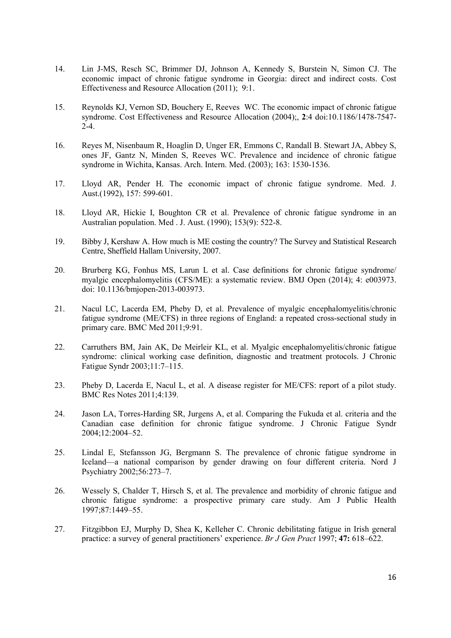- 14. Lin J-MS, Resch SC, Brimmer DJ, Johnson A, Kennedy S, Burstein N, Simon CJ. The economic impact of chronic fatigue syndrome in Georgia: direct and indirect costs. Cost Effectiveness and Resource Allocation (2011); 9:1.
- 15. Reynolds KJ, Vernon SD, Bouchery E, Reeves WC. The economic impact of chronic fatigue syndrome. Cost Effectiveness and Resource Allocation (2004);, 2:4 doi:10.1186/1478-7547- 2-4.
- 16. Reyes M, Nisenbaum R, Hoaglin D, Unger ER, Emmons C, Randall B. Stewart JA, Abbey S, ones JF, Gantz N, Minden S, Reeves WC. Prevalence and incidence of chronic fatigue syndrome in Wichita, Kansas. Arch. Intern. Med. (2003); 163: 1530-1536.
- 17. Lloyd AR, Pender H. The economic impact of chronic fatigue syndrome. Med. J. Aust.(1992), 157: 599-601.
- 18. Lloyd AR, Hickie I, Boughton CR et al. Prevalence of chronic fatigue syndrome in an Australian population. Med . J. Aust. (1990); 153(9): 522-8.
- 19. Bibby J, Kershaw A. How much is ME costing the country? The Survey and Statistical Research Centre, Sheffield Hallam University, 2007.
- 20. Brurberg KG, Fonhus MS, Larun L et al. Case definitions for chronic fatigue syndrome/ myalgic encephalomyelitis (CFS/ME): a systematic review. BMJ Open (2014); 4: e003973. doi: 10.1136/bmjopen-2013-003973.
- 21. Nacul LC, Lacerda EM, Pheby D, et al. Prevalence of myalgic encephalomyelitis/chronic fatigue syndrome (ME/CFS) in three regions of England: a repeated cross-sectional study in primary care. BMC Med 2011;9:91.
- 22. Carruthers BM, Jain AK, De Meirleir KL, et al. Myalgic encephalomyelitis/chronic fatigue syndrome: clinical working case definition, diagnostic and treatment protocols. J Chronic Fatigue Syndr 2003;11:7–115.
- 23. Pheby D, Lacerda E, Nacul L, et al. A disease register for ME/CFS: report of a pilot study. BMC Res Notes 2011;4:139.
- 24. Jason LA, Torres-Harding SR, Jurgens A, et al. Comparing the Fukuda et al. criteria and the Canadian case definition for chronic fatigue syndrome. J Chronic Fatigue Syndr 2004;12:2004–52.
- 25. Lindal E, Stefansson JG, Bergmann S. The prevalence of chronic fatigue syndrome in Iceland—a national comparison by gender drawing on four different criteria. Nord J Psychiatry 2002;56:273–7.
- 26. Wessely S, Chalder T, Hirsch S, et al. The prevalence and morbidity of chronic fatigue and chronic fatigue syndrome: a prospective primary care study. Am J Public Health 1997;87:1449–55.
- 27. Fitzgibbon EJ, Murphy D, Shea K, Kelleher C. Chronic debilitating fatigue in Irish general practice: a survey of general practitioners' experience. Br J Gen Pract 1997; 47: 618–622.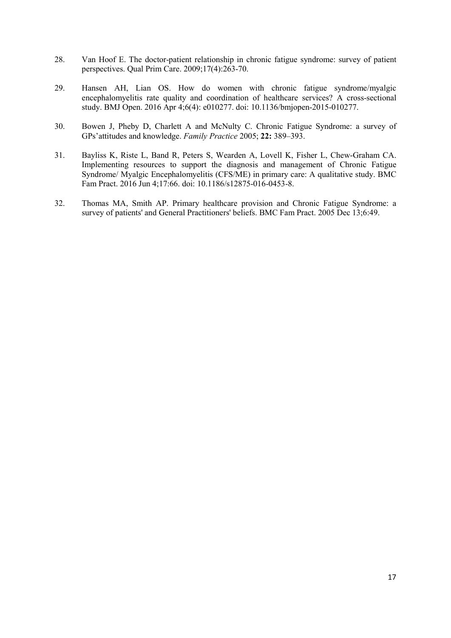- 28. Van Hoof E. The doctor-patient relationship in chronic fatigue syndrome: survey of patient perspectives. Qual Prim Care. 2009;17(4):263-70.
- 29. Hansen AH, Lian OS. How do women with chronic fatigue syndrome/myalgic encephalomyelitis rate quality and coordination of healthcare services? A cross-sectional study. BMJ Open. 2016 Apr 4;6(4): e010277. doi: 10.1136/bmjopen-2015-010277.
- 30. Bowen J, Pheby D, Charlett A and McNulty C. Chronic Fatigue Syndrome: a survey of GPs'attitudes and knowledge. Family Practice 2005; 22: 389–393.
- 31. Bayliss K, Riste L, Band R, Peters S, Wearden A, Lovell K, Fisher L, Chew-Graham CA. Implementing resources to support the diagnosis and management of Chronic Fatigue Syndrome/ Myalgic Encephalomyelitis (CFS/ME) in primary care: A qualitative study. BMC Fam Pract. 2016 Jun 4;17:66. doi: 10.1186/s12875-016-0453-8.
- 32. Thomas MA, Smith AP. Primary healthcare provision and Chronic Fatigue Syndrome: a survey of patients' and General Practitioners' beliefs. BMC Fam Pract. 2005 Dec 13;6:49.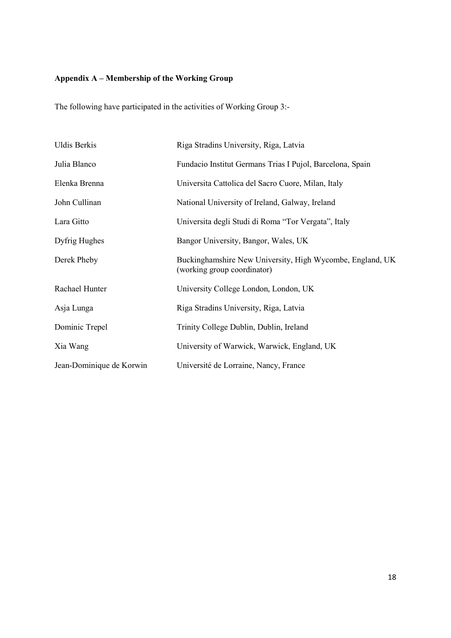# Appendix A – Membership of the Working Group

The following have participated in the activities of Working Group 3:-

| <b>Uldis Berkis</b>      | Riga Stradins University, Riga, Latvia                                                   |
|--------------------------|------------------------------------------------------------------------------------------|
| Julia Blanco             | Fundacio Institut Germans Trias I Pujol, Barcelona, Spain                                |
| Elenka Brenna            | Universita Cattolica del Sacro Cuore, Milan, Italy                                       |
| John Cullinan            | National University of Ireland, Galway, Ireland                                          |
| Lara Gitto               | Universita degli Studi di Roma "Tor Vergata", Italy                                      |
| Dyfrig Hughes            | Bangor University, Bangor, Wales, UK                                                     |
| Derek Pheby              | Buckinghamshire New University, High Wycombe, England, UK<br>(working group coordinator) |
| Rachael Hunter           | University College London, London, UK                                                    |
| Asja Lunga               | Riga Stradins University, Riga, Latvia                                                   |
| Dominic Trepel           | Trinity College Dublin, Dublin, Ireland                                                  |
| Xia Wang                 | University of Warwick, Warwick, England, UK                                              |
| Jean-Dominique de Korwin | Université de Lorraine, Nancy, France                                                    |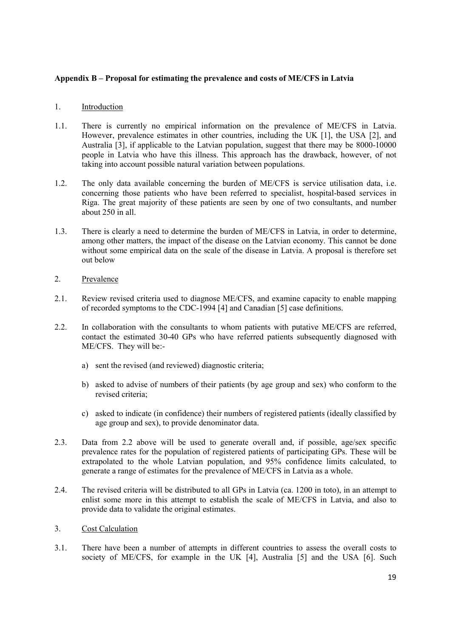## Appendix B – Proposal for estimating the prevalence and costs of ME/CFS in Latvia

#### 1. Introduction

- 1.1. There is currently no empirical information on the prevalence of ME/CFS in Latvia. However, prevalence estimates in other countries, including the UK [1], the USA [2], and Australia [3], if applicable to the Latvian population, suggest that there may be 8000-10000 people in Latvia who have this illness. This approach has the drawback, however, of not taking into account possible natural variation between populations.
- 1.2. The only data available concerning the burden of ME/CFS is service utilisation data, i.e. concerning those patients who have been referred to specialist, hospital-based services in Riga. The great majority of these patients are seen by one of two consultants, and number about 250 in all.
- 1.3. There is clearly a need to determine the burden of ME/CFS in Latvia, in order to determine, among other matters, the impact of the disease on the Latvian economy. This cannot be done without some empirical data on the scale of the disease in Latvia. A proposal is therefore set out below

## 2. Prevalence

- 2.1. Review revised criteria used to diagnose ME/CFS, and examine capacity to enable mapping of recorded symptoms to the CDC-1994 [4] and Canadian [5] case definitions.
- 2.2. In collaboration with the consultants to whom patients with putative ME/CFS are referred, contact the estimated 30-40 GPs who have referred patients subsequently diagnosed with ME/CFS. They will be:
	- a) sent the revised (and reviewed) diagnostic criteria;
	- b) asked to advise of numbers of their patients (by age group and sex) who conform to the revised criteria;
	- c) asked to indicate (in confidence) their numbers of registered patients (ideally classified by age group and sex), to provide denominator data.
- 2.3. Data from 2.2 above will be used to generate overall and, if possible, age/sex specific prevalence rates for the population of registered patients of participating GPs. These will be extrapolated to the whole Latvian population, and 95% confidence limits calculated, to generate a range of estimates for the prevalence of ME/CFS in Latvia as a whole.
- 2.4. The revised criteria will be distributed to all GPs in Latvia (ca. 1200 in toto), in an attempt to enlist some more in this attempt to establish the scale of ME/CFS in Latvia, and also to provide data to validate the original estimates.

## 3. Cost Calculation

3.1. There have been a number of attempts in different countries to assess the overall costs to society of ME/CFS, for example in the UK [4], Australia [5] and the USA [6]. Such